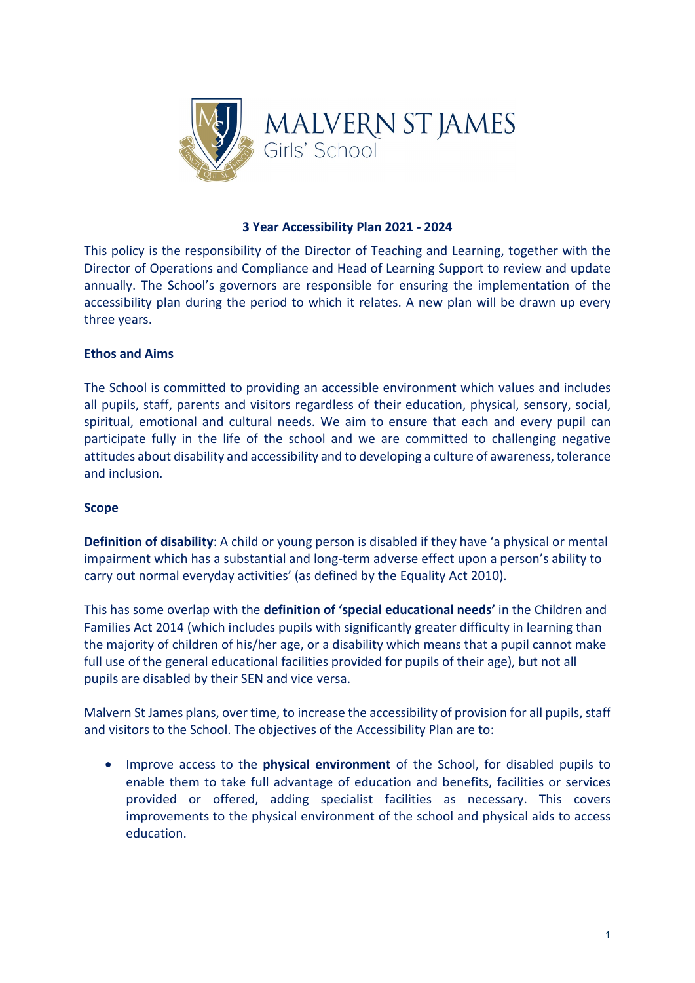

#### **3 Year Accessibility Plan 2021 - 2024**

This policy is the responsibility of the Director of Teaching and Learning, together with the Director of Operations and Compliance and Head of Learning Support to review and update annually. The School's governors are responsible for ensuring the implementation of the accessibility plan during the period to which it relates. A new plan will be drawn up every three years.

### **Ethos and Aims**

The School is committed to providing an accessible environment which values and includes all pupils, staff, parents and visitors regardless of their education, physical, sensory, social, spiritual, emotional and cultural needs. We aim to ensure that each and every pupil can participate fully in the life of the school and we are committed to challenging negative attitudes about disability and accessibility and to developing a culture of awareness, tolerance and inclusion.

#### **Scope**

**Definition of disability**: A child or young person is disabled if they have 'a physical or mental impairment which has a substantial and long-term adverse effect upon a person's ability to carry out normal everyday activities' (as defined by the Equality Act 2010).

This has some overlap with the **definition of 'special educational needs'** in the Children and Families Act 2014 (which includes pupils with significantly greater difficulty in learning than the majority of children of his/her age, or a disability which means that a pupil cannot make full use of the general educational facilities provided for pupils of their age), but not all pupils are disabled by their SEN and vice versa.

Malvern St James plans, over time, to increase the accessibility of provision for all pupils, staff and visitors to the School. The objectives of the Accessibility Plan are to:

• Improve access to the **physical environment** of the School, for disabled pupils to enable them to take full advantage of education and benefits, facilities or services provided or offered, adding specialist facilities as necessary. This covers improvements to the physical environment of the school and physical aids to access education.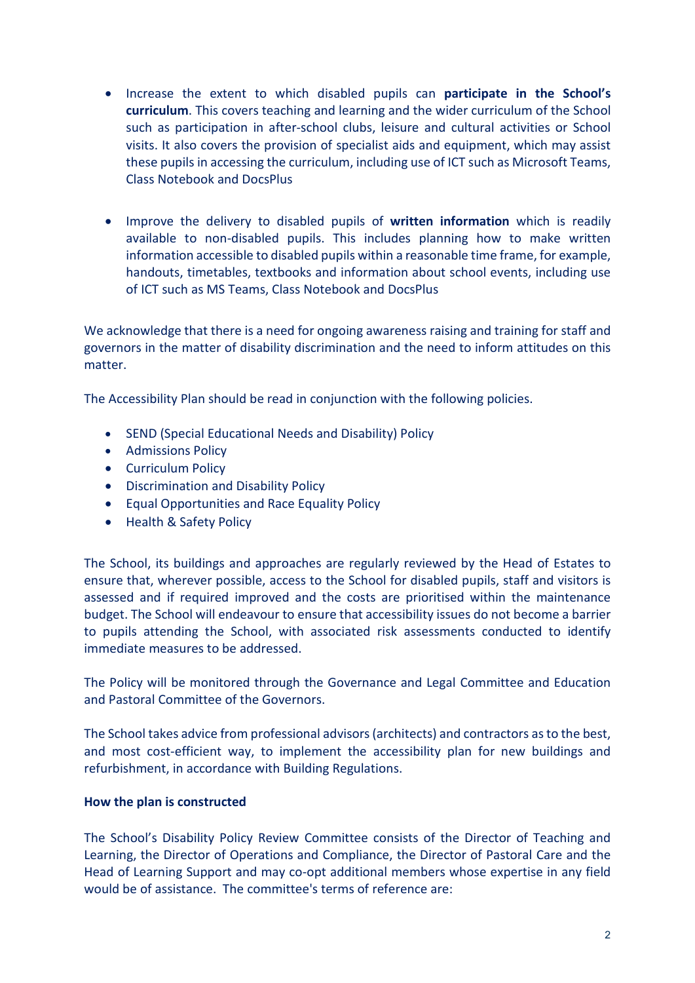- Increase the extent to which disabled pupils can **participate in the School's curriculum**. This covers teaching and learning and the wider curriculum of the School such as participation in after-school clubs, leisure and cultural activities or School visits. It also covers the provision of specialist aids and equipment, which may assist these pupils in accessing the curriculum, including use of ICT such as Microsoft Teams, Class Notebook and DocsPlus
- Improve the delivery to disabled pupils of **written information** which is readily available to non-disabled pupils. This includes planning how to make written information accessible to disabled pupils within a reasonable time frame, for example, handouts, timetables, textbooks and information about school events, including use of ICT such as MS Teams, Class Notebook and DocsPlus

We acknowledge that there is a need for ongoing awareness raising and training for staff and governors in the matter of disability discrimination and the need to inform attitudes on this matter.

The Accessibility Plan should be read in conjunction with the following policies.

- SEND (Special Educational Needs and Disability) Policy
- Admissions Policy
- Curriculum Policy
- Discrimination and Disability Policy
- Equal Opportunities and Race Equality Policy
- Health & Safety Policy

The School, its buildings and approaches are regularly reviewed by the Head of Estates to ensure that, wherever possible, access to the School for disabled pupils, staff and visitors is assessed and if required improved and the costs are prioritised within the maintenance budget. The School will endeavour to ensure that accessibility issues do not become a barrier to pupils attending the School, with associated risk assessments conducted to identify immediate measures to be addressed.

The Policy will be monitored through the Governance and Legal Committee and Education and Pastoral Committee of the Governors.

The School takes advice from professional advisors (architects) and contractors as to the best, and most cost-efficient way, to implement the accessibility plan for new buildings and refurbishment, in accordance with Building Regulations.

#### **How the plan is constructed**

The School's Disability Policy Review Committee consists of the Director of Teaching and Learning, the Director of Operations and Compliance, the Director of Pastoral Care and the Head of Learning Support and may co-opt additional members whose expertise in any field would be of assistance. The committee's terms of reference are: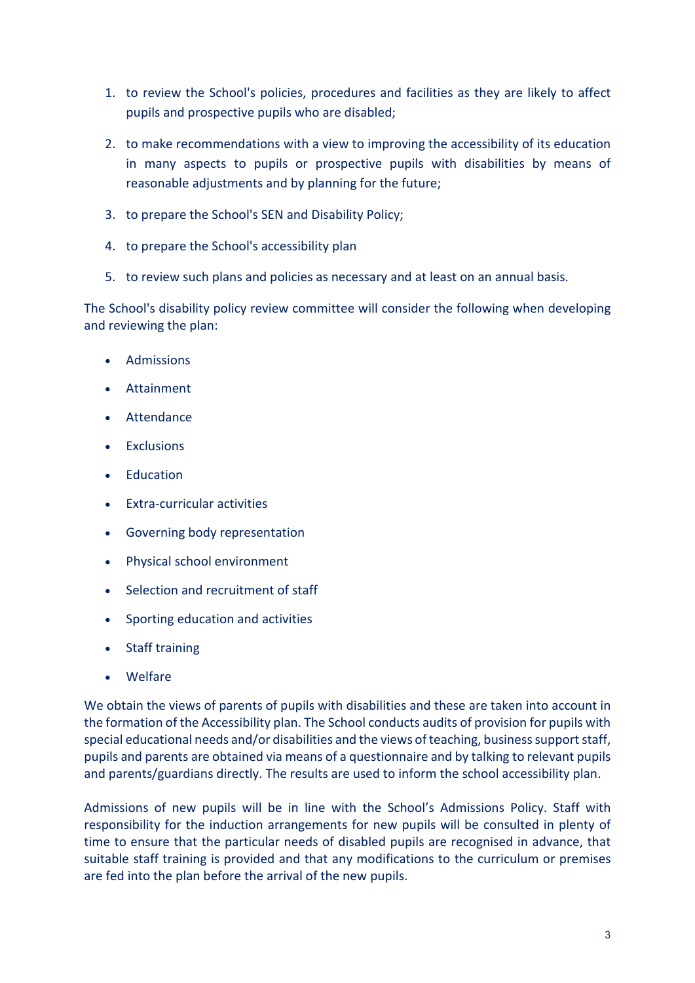- 1. to review the School's policies, procedures and facilities as they are likely to affect pupils and prospective pupils who are disabled;
- 2. to make recommendations with a view to improving the accessibility of its education in many aspects to pupils or prospective pupils with disabilities by means of reasonable adjustments and by planning for the future;
- 3. to prepare the School's SEN and Disability Policy;
- 4. to prepare the School's accessibility plan
- 5. to review such plans and policies as necessary and at least on an annual basis.

The School's disability policy review committee will consider the following when developing and reviewing the plan:

- Admissions
- Attainment
- Attendance
- Exclusions
- Education
- Extra-curricular activities
- Governing body representation
- Physical school environment
- Selection and recruitment of staff
- Sporting education and activities
- Staff training
- Welfare

We obtain the views of parents of pupils with disabilities and these are taken into account in the formation of the Accessibility plan. The School conducts audits of provision for pupils with special educational needs and/or disabilities and the views of teaching, business support staff, pupils and parents are obtained via means of a questionnaire and by talking to relevant pupils and parents/guardians directly. The results are used to inform the school accessibility plan.

Admissions of new pupils will be in line with the School's Admissions Policy. Staff with responsibility for the induction arrangements for new pupils will be consulted in plenty of time to ensure that the particular needs of disabled pupils are recognised in advance, that suitable staff training is provided and that any modifications to the curriculum or premises are fed into the plan before the arrival of the new pupils.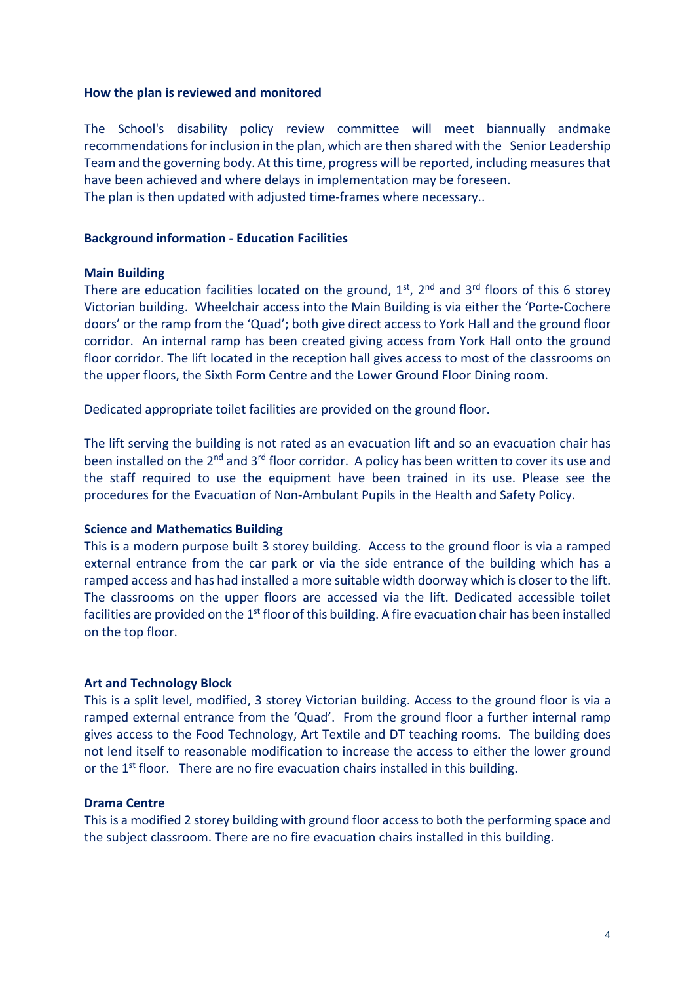#### **How the plan is reviewed and monitored**

The School's disability policy review committee will meet biannually andmake recommendations for inclusion in the plan, which are then shared with the Senior Leadership Team and the governing body. At this time, progress will be reported, including measures that have been achieved and where delays in implementation may be foreseen. The plan is then updated with adjusted time-frames where necessary..

#### **Background information - Education Facilities**

#### **Main Building**

There are education facilities located on the ground,  $1^{st}$ ,  $2^{nd}$  and  $3^{rd}$  floors of this 6 storey Victorian building. Wheelchair access into the Main Building is via either the 'Porte-Cochere doors' or the ramp from the 'Quad'; both give direct access to York Hall and the ground floor corridor. An internal ramp has been created giving access from York Hall onto the ground floor corridor. The lift located in the reception hall gives access to most of the classrooms on the upper floors, the Sixth Form Centre and the Lower Ground Floor Dining room.

Dedicated appropriate toilet facilities are provided on the ground floor.

The lift serving the building is not rated as an evacuation lift and so an evacuation chair has been installed on the 2<sup>nd</sup> and 3<sup>rd</sup> floor corridor. A policy has been written to cover its use and the staff required to use the equipment have been trained in its use. Please see the procedures for the Evacuation of Non-Ambulant Pupils in the Health and Safety Policy.

#### **Science and Mathematics Building**

This is a modern purpose built 3 storey building. Access to the ground floor is via a ramped external entrance from the car park or via the side entrance of the building which has a ramped access and has had installed a more suitable width doorway which is closer to the lift. The classrooms on the upper floors are accessed via the lift. Dedicated accessible toilet facilities are provided on the 1<sup>st</sup> floor of this building. A fire evacuation chair has been installed on the top floor.

#### **Art and Technology Block**

This is a split level, modified, 3 storey Victorian building. Access to the ground floor is via a ramped external entrance from the 'Quad'. From the ground floor a further internal ramp gives access to the Food Technology, Art Textile and DT teaching rooms. The building does not lend itself to reasonable modification to increase the access to either the lower ground or the  $1<sup>st</sup>$  floor. There are no fire evacuation chairs installed in this building.

#### **Drama Centre**

This is a modified 2 storey building with ground floor access to both the performing space and the subject classroom. There are no fire evacuation chairs installed in this building.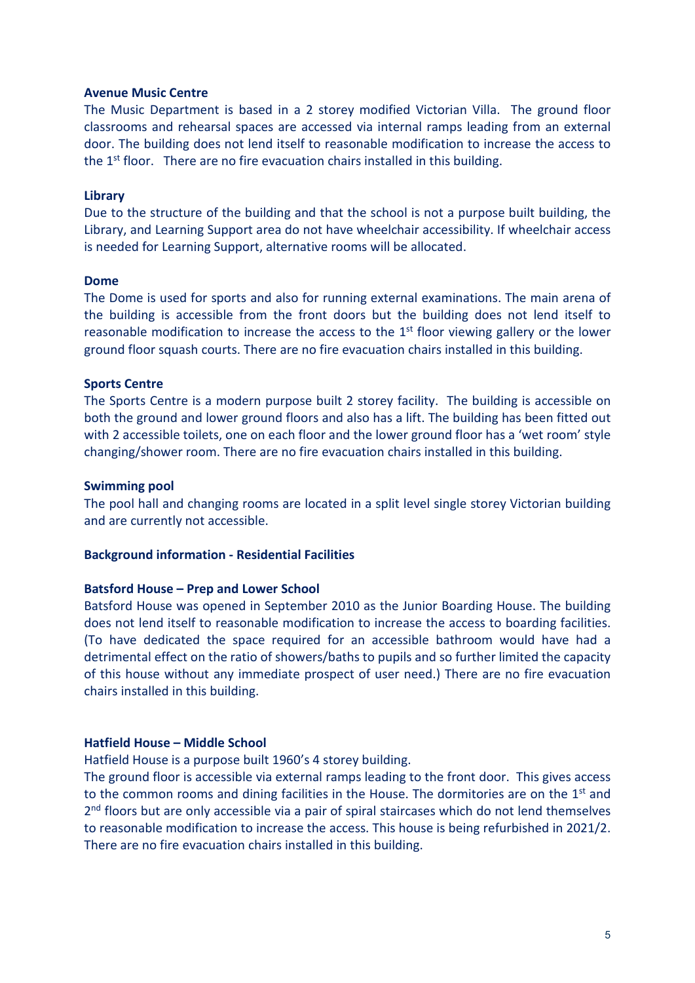#### **Avenue Music Centre**

The Music Department is based in a 2 storey modified Victorian Villa. The ground floor classrooms and rehearsal spaces are accessed via internal ramps leading from an external door. The building does not lend itself to reasonable modification to increase the access to the 1<sup>st</sup> floor. There are no fire evacuation chairs installed in this building.

#### **Library**

Due to the structure of the building and that the school is not a purpose built building, the Library, and Learning Support area do not have wheelchair accessibility. If wheelchair access is needed for Learning Support, alternative rooms will be allocated.

#### **Dome**

The Dome is used for sports and also for running external examinations. The main arena of the building is accessible from the front doors but the building does not lend itself to reasonable modification to increase the access to the  $1<sup>st</sup>$  floor viewing gallery or the lower ground floor squash courts. There are no fire evacuation chairs installed in this building.

#### **Sports Centre**

The Sports Centre is a modern purpose built 2 storey facility. The building is accessible on both the ground and lower ground floors and also has a lift. The building has been fitted out with 2 accessible toilets, one on each floor and the lower ground floor has a 'wet room' style changing/shower room. There are no fire evacuation chairs installed in this building.

#### **Swimming pool**

The pool hall and changing rooms are located in a split level single storey Victorian building and are currently not accessible.

#### **Background information - Residential Facilities**

#### **Batsford House – Prep and Lower School**

Batsford House was opened in September 2010 as the Junior Boarding House. The building does not lend itself to reasonable modification to increase the access to boarding facilities. (To have dedicated the space required for an accessible bathroom would have had a detrimental effect on the ratio of showers/baths to pupils and so further limited the capacity of this house without any immediate prospect of user need.) There are no fire evacuation chairs installed in this building.

#### **Hatfield House – Middle School**

Hatfield House is a purpose built 1960's 4 storey building.

The ground floor is accessible via external ramps leading to the front door. This gives access to the common rooms and dining facilities in the House. The dormitories are on the  $1<sup>st</sup>$  and  $2<sup>nd</sup>$  floors but are only accessible via a pair of spiral staircases which do not lend themselves to reasonable modification to increase the access. This house is being refurbished in 2021/2. There are no fire evacuation chairs installed in this building.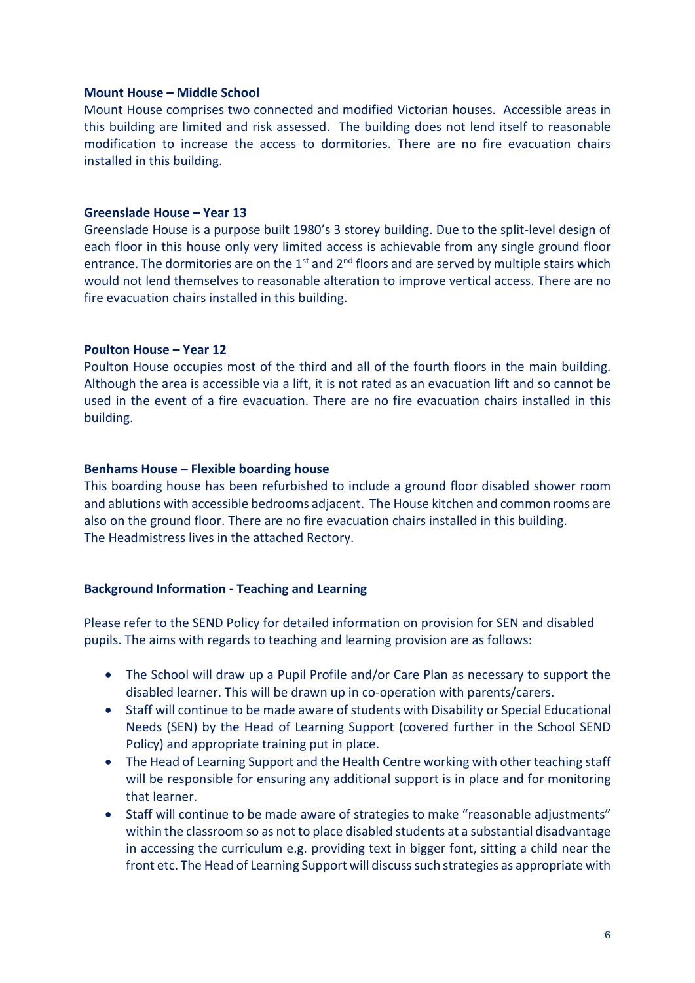#### **Mount House – Middle School**

Mount House comprises two connected and modified Victorian houses. Accessible areas in this building are limited and risk assessed. The building does not lend itself to reasonable modification to increase the access to dormitories. There are no fire evacuation chairs installed in this building.

#### **Greenslade House – Year 13**

Greenslade House is a purpose built 1980's 3 storey building. Due to the split-level design of each floor in this house only very limited access is achievable from any single ground floor entrance. The dormitories are on the  $1<sup>st</sup>$  and  $2<sup>nd</sup>$  floors and are served by multiple stairs which would not lend themselves to reasonable alteration to improve vertical access. There are no fire evacuation chairs installed in this building.

#### **Poulton House – Year 12**

Poulton House occupies most of the third and all of the fourth floors in the main building. Although the area is accessible via a lift, it is not rated as an evacuation lift and so cannot be used in the event of a fire evacuation. There are no fire evacuation chairs installed in this building.

#### **Benhams House – Flexible boarding house**

This boarding house has been refurbished to include a ground floor disabled shower room and ablutions with accessible bedrooms adjacent. The House kitchen and common rooms are also on the ground floor. There are no fire evacuation chairs installed in this building. The Headmistress lives in the attached Rectory.

#### **Background Information - Teaching and Learning**

Please refer to the SEND Policy for detailed information on provision for SEN and disabled pupils. The aims with regards to teaching and learning provision are as follows:

- The School will draw up a Pupil Profile and/or Care Plan as necessary to support the disabled learner. This will be drawn up in co-operation with parents/carers.
- Staff will continue to be made aware of students with Disability or Special Educational Needs (SEN) by the Head of Learning Support (covered further in the School SEND Policy) and appropriate training put in place.
- The Head of Learning Support and the Health Centre working with other teaching staff will be responsible for ensuring any additional support is in place and for monitoring that learner.
- Staff will continue to be made aware of strategies to make "reasonable adjustments" within the classroom so as not to place disabled students at a substantial disadvantage in accessing the curriculum e.g. providing text in bigger font, sitting a child near the front etc. The Head of Learning Support will discuss such strategies as appropriate with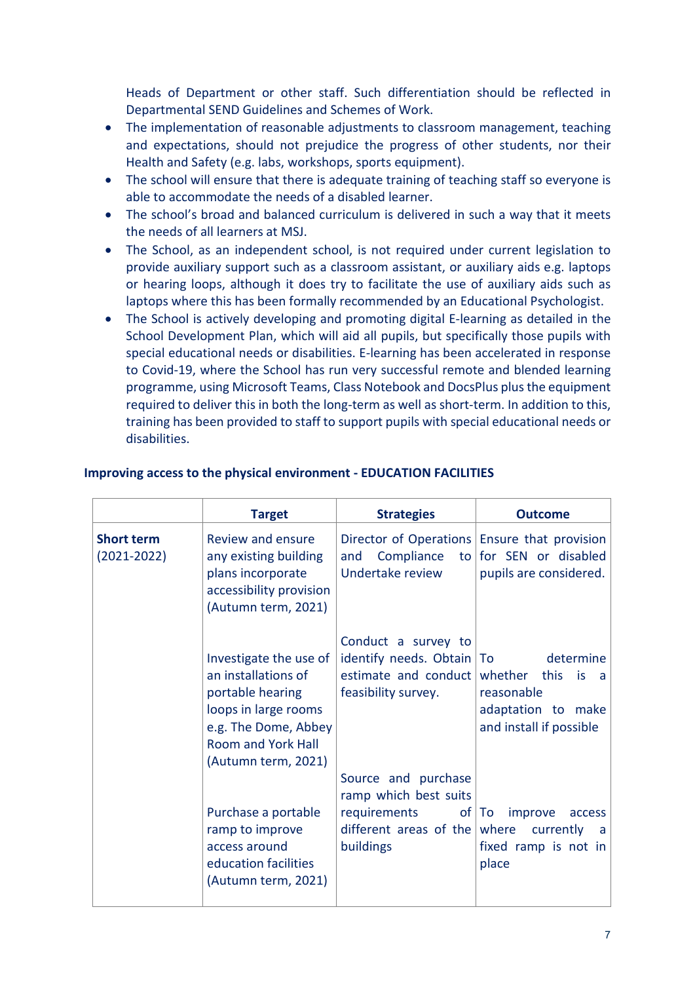Heads of Department or other staff. Such differentiation should be reflected in Departmental SEND Guidelines and Schemes of Work.

- The implementation of reasonable adjustments to classroom management, teaching and expectations, should not prejudice the progress of other students, nor their Health and Safety (e.g. labs, workshops, sports equipment).
- The school will ensure that there is adequate training of teaching staff so everyone is able to accommodate the needs of a disabled learner.
- The school's broad and balanced curriculum is delivered in such a way that it meets the needs of all learners at MSJ.
- The School, as an independent school, is not required under current legislation to provide auxiliary support such as a classroom assistant, or auxiliary aids e.g. laptops or hearing loops, although it does try to facilitate the use of auxiliary aids such as laptops where this has been formally recommended by an Educational Psychologist.
- The School is actively developing and promoting digital E-learning as detailed in the School Development Plan, which will aid all pupils, but specifically those pupils with special educational needs or disabilities. E-learning has been accelerated in response to Covid-19, where the School has run very successful remote and blended learning programme, using Microsoft Teams, Class Notebook and DocsPlus plusthe equipment required to deliver this in both the long-term as well as short-term. In addition to this, training has been provided to staff to support pupils with special educational needs or disabilities.

|                                      | <b>Target</b>                                                                                                                                                         | <b>Strategies</b>                                                                                                        | <b>Outcome</b>                                                                                   |
|--------------------------------------|-----------------------------------------------------------------------------------------------------------------------------------------------------------------------|--------------------------------------------------------------------------------------------------------------------------|--------------------------------------------------------------------------------------------------|
| <b>Short term</b><br>$(2021 - 2022)$ | Review and ensure<br>any existing building<br>plans incorporate<br>accessibility provision<br>(Autumn term, 2021)                                                     | Compliance<br>and<br>Undertake review                                                                                    | Director of Operations Ensure that provision<br>to for SEN or disabled<br>pupils are considered. |
|                                      | Investigate the use of<br>an installations of<br>portable hearing<br>loops in large rooms<br>e.g. The Dome, Abbey<br><b>Room and York Hall</b><br>(Autumn term, 2021) | Conduct a survey to<br>identify needs. Obtain $\vert$ To<br>estimate and conduct whether this<br>feasibility survey.     | determine<br>is is<br>a,<br>reasonable<br>adaptation to make<br>and install if possible          |
|                                      | Purchase a portable<br>ramp to improve<br>access around<br>education facilities<br>(Autumn term, 2021)                                                                | Source and purchase<br>ramp which best suits<br>requirements<br>different areas of the $\vert$ where<br><b>buildings</b> | improve<br>of   To<br>access<br>currently<br>a a<br>fixed ramp is not in<br>place                |

## **Improving access to the physical environment - EDUCATION FACILITIES**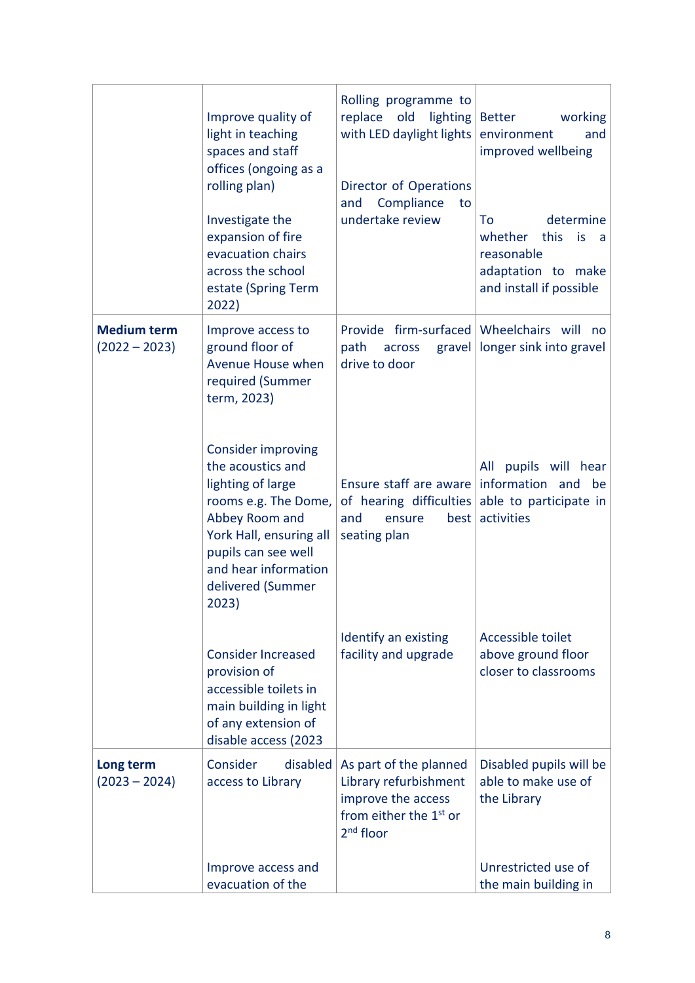|                                       | Improve quality of<br>light in teaching<br>spaces and staff<br>offices (ongoing as a<br>rolling plan)<br>Investigate the<br>expansion of fire<br>evacuation chairs<br>across the school<br>estate (Spring Term<br>2022) | Rolling programme to<br>replace old<br>with LED daylight lights<br>Director of Operations<br>Compliance<br>and<br>to<br>undertake review | $lighting$ Better<br>working<br>environment<br>and<br>improved wellbeing<br>determine<br>To<br>whether this<br>is<br>a<br>reasonable<br>adaptation to make<br>and install if possible |
|---------------------------------------|-------------------------------------------------------------------------------------------------------------------------------------------------------------------------------------------------------------------------|------------------------------------------------------------------------------------------------------------------------------------------|---------------------------------------------------------------------------------------------------------------------------------------------------------------------------------------|
| <b>Medium term</b><br>$(2022 - 2023)$ | Improve access to<br>ground floor of<br>Avenue House when<br>required (Summer<br>term, 2023)                                                                                                                            | Provide firm-surfaced Wheelchairs will no<br>path<br>across<br>drive to door                                                             | gravel   longer sink into gravel                                                                                                                                                      |
|                                       | <b>Consider improving</b><br>the acoustics and<br>lighting of large<br>rooms e.g. The Dome,<br>Abbey Room and<br>York Hall, ensuring all<br>pupils can see well<br>and hear information<br>delivered (Summer<br>2023)   | Ensure staff are aware<br>of hearing difficulties<br>and<br>best<br>ensure<br>seating plan                                               | All pupils will hear<br>information and<br>be<br>able to participate in<br>activities                                                                                                 |
|                                       | <b>Consider Increased</b><br>provision of<br>accessible toilets in<br>main building in light<br>of any extension of<br>disable access (2023                                                                             | Identify an existing<br>facility and upgrade                                                                                             | Accessible toilet<br>above ground floor<br>closer to classrooms                                                                                                                       |
| Long term<br>$(2023 - 2024)$          | Consider<br>disabled<br>access to Library                                                                                                                                                                               | As part of the planned<br>Library refurbishment<br>improve the access<br>from either the 1 <sup>st</sup> or<br>$2nd$ floor               | Disabled pupils will be<br>able to make use of<br>the Library                                                                                                                         |
|                                       | Improve access and<br>evacuation of the                                                                                                                                                                                 |                                                                                                                                          | Unrestricted use of<br>the main building in                                                                                                                                           |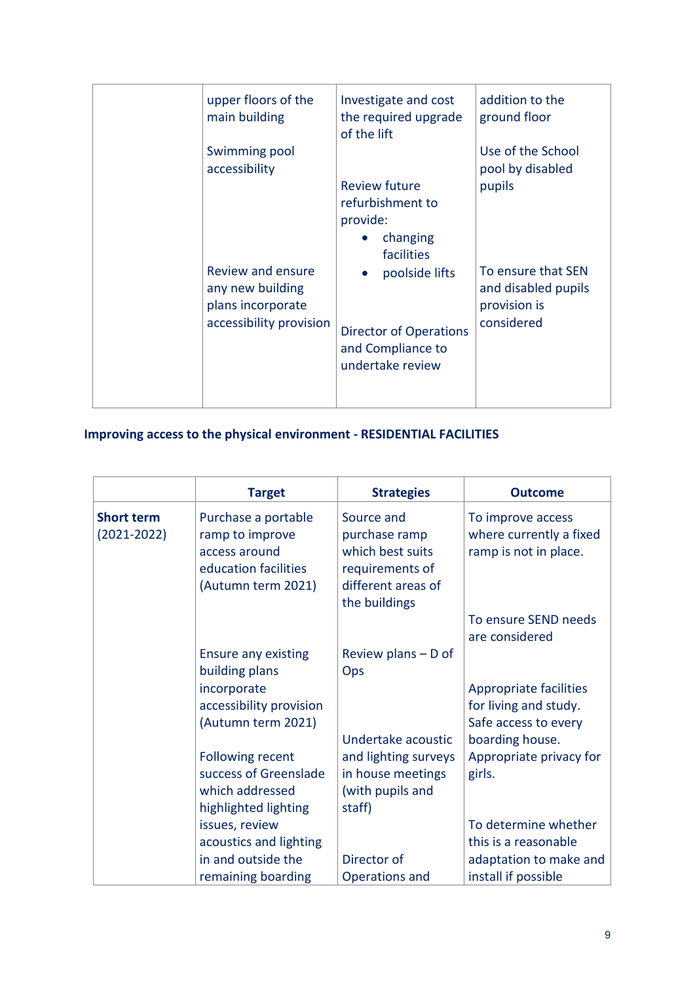| upper floors of the<br>main building                                                  | Investigate and cost<br>the required upgrade<br>of the lift                              | addition to the<br>ground floor                                         |
|---------------------------------------------------------------------------------------|------------------------------------------------------------------------------------------|-------------------------------------------------------------------------|
| Swimming pool<br>accessibility                                                        | <b>Review future</b><br>refurbishment to<br>provide:<br>changing<br>facilities           | Use of the School<br>pool by disabled<br>pupils                         |
| Review and ensure<br>any new building<br>plans incorporate<br>accessibility provision | poolside lifts<br><b>Director of Operations</b><br>and Compliance to<br>undertake review | To ensure that SEN<br>and disabled pupils<br>provision is<br>considered |

# **Improving access to the physical environment - RESIDENTIAL FACILITIES**

|                                      | <b>Target</b>                                                                                         | <b>Strategies</b>                                                                                         | <b>Outcome</b>                                                          |
|--------------------------------------|-------------------------------------------------------------------------------------------------------|-----------------------------------------------------------------------------------------------------------|-------------------------------------------------------------------------|
| <b>Short term</b><br>$(2021 - 2022)$ | Purchase a portable<br>ramp to improve<br>access around<br>education facilities<br>(Autumn term 2021) | Source and<br>purchase ramp<br>which best suits<br>requirements of<br>different areas of<br>the buildings | To improve access<br>where currently a fixed<br>ramp is not in place.   |
|                                      |                                                                                                       |                                                                                                           | To ensure SEND needs<br>are considered                                  |
|                                      | <b>Ensure any existing</b><br>building plans                                                          | Review plans $-$ D of<br>Ops                                                                              |                                                                         |
|                                      | incorporate<br>accessibility provision<br>(Autumn term 2021)                                          |                                                                                                           | Appropriate facilities<br>for living and study.<br>Safe access to every |
|                                      | <b>Following recent</b>                                                                               | Undertake acoustic<br>and lighting surveys                                                                | boarding house.<br>Appropriate privacy for                              |
|                                      | success of Greenslade<br>which addressed<br>highlighted lighting                                      | in house meetings<br>(with pupils and<br>staff)                                                           | girls.                                                                  |
|                                      | issues, review                                                                                        |                                                                                                           | To determine whether                                                    |
|                                      | acoustics and lighting                                                                                |                                                                                                           | this is a reasonable                                                    |
|                                      | in and outside the<br>remaining boarding                                                              | Director of<br>Operations and                                                                             | adaptation to make and<br>install if possible                           |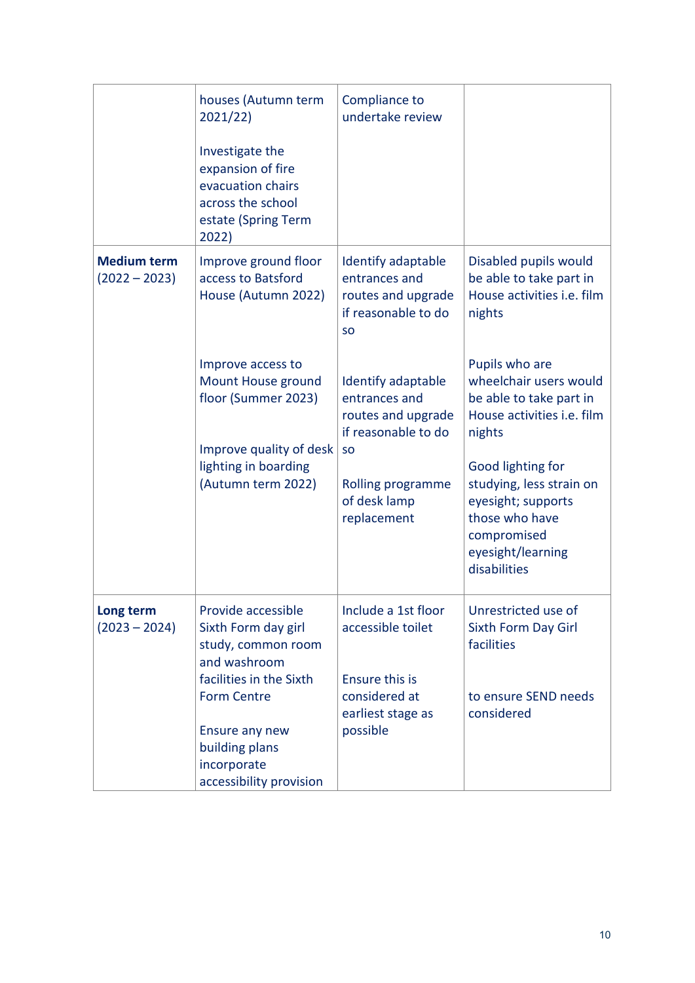|                                       | houses (Autumn term<br>2021/22)                                                                                   | Compliance to<br>undertake review                                                             |                                                                                                                                  |
|---------------------------------------|-------------------------------------------------------------------------------------------------------------------|-----------------------------------------------------------------------------------------------|----------------------------------------------------------------------------------------------------------------------------------|
|                                       | Investigate the<br>expansion of fire<br>evacuation chairs<br>across the school<br>estate (Spring Term<br>2022)    |                                                                                               |                                                                                                                                  |
| <b>Medium term</b><br>$(2022 - 2023)$ | Improve ground floor<br>access to Batsford<br>House (Autumn 2022)                                                 | Identify adaptable<br>entrances and<br>routes and upgrade<br>if reasonable to do<br><b>SO</b> | Disabled pupils would<br>be able to take part in<br>House activities i.e. film<br>nights                                         |
|                                       | Improve access to<br>Mount House ground<br>floor (Summer 2023)<br>Improve quality of desk<br>lighting in boarding | Identify adaptable<br>entrances and<br>routes and upgrade<br>if reasonable to do<br><b>SO</b> | Pupils who are<br>wheelchair users would<br>be able to take part in<br>House activities i.e. film<br>nights<br>Good lighting for |
|                                       | (Autumn term 2022)                                                                                                | Rolling programme<br>of desk lamp<br>replacement                                              | studying, less strain on<br>eyesight; supports<br>those who have<br>compromised<br>eyesight/learning<br>disabilities             |
| Long term<br>$(2023 - 2024)$          | Provide accessible<br>Sixth Form day girl<br>study, common room<br>and washroom                                   | Include a 1st floor<br>accessible toilet                                                      | Unrestricted use of<br><b>Sixth Form Day Girl</b><br>facilities                                                                  |
|                                       | facilities in the Sixth<br><b>Form Centre</b><br>Ensure any new<br>building plans                                 | Ensure this is<br>considered at<br>earliest stage as<br>possible                              | to ensure SEND needs<br>considered                                                                                               |
|                                       | incorporate<br>accessibility provision                                                                            |                                                                                               |                                                                                                                                  |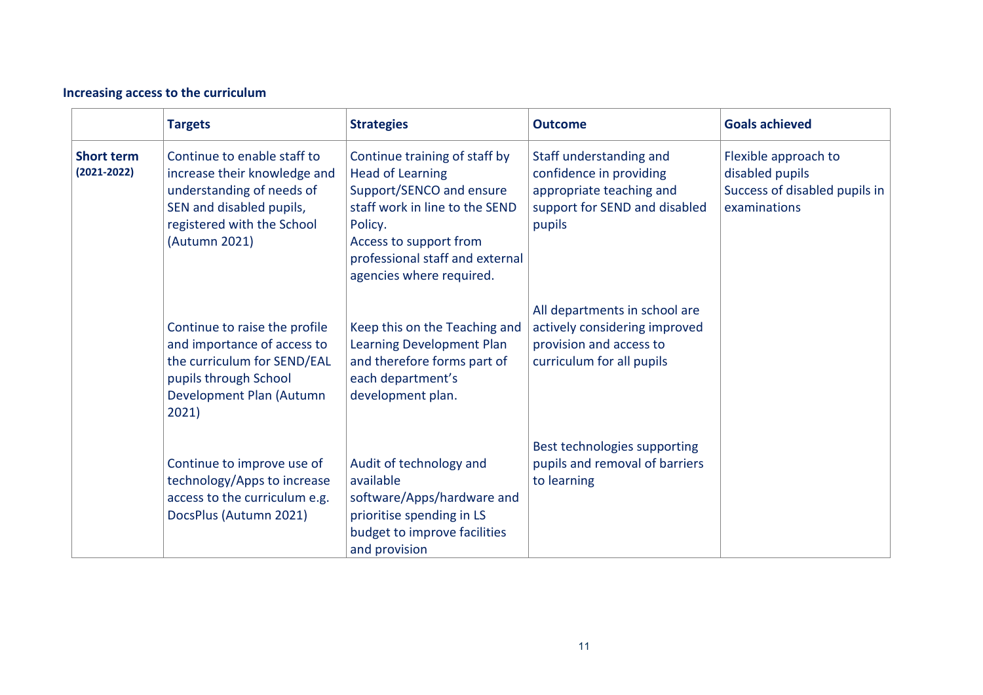# **Increasing access to the curriculum**

|                                      | <b>Targets</b>                                                                                                                                                      | <b>Strategies</b>                                                                                                                                                                                                          | <b>Outcome</b>                                                                                                            | <b>Goals achieved</b>                                                                    |
|--------------------------------------|---------------------------------------------------------------------------------------------------------------------------------------------------------------------|----------------------------------------------------------------------------------------------------------------------------------------------------------------------------------------------------------------------------|---------------------------------------------------------------------------------------------------------------------------|------------------------------------------------------------------------------------------|
| <b>Short term</b><br>$(2021 - 2022)$ | Continue to enable staff to<br>increase their knowledge and<br>understanding of needs of<br>SEN and disabled pupils,<br>registered with the School<br>(Autumn 2021) | Continue training of staff by<br><b>Head of Learning</b><br>Support/SENCO and ensure<br>staff work in line to the SEND<br>Policy.<br>Access to support from<br>professional staff and external<br>agencies where required. | Staff understanding and<br>confidence in providing<br>appropriate teaching and<br>support for SEND and disabled<br>pupils | Flexible approach to<br>disabled pupils<br>Success of disabled pupils in<br>examinations |
|                                      | Continue to raise the profile<br>and importance of access to<br>the curriculum for SEND/EAL<br>pupils through School<br>Development Plan (Autumn<br>2021)           | Keep this on the Teaching and<br>Learning Development Plan<br>and therefore forms part of<br>each department's<br>development plan.                                                                                        | All departments in school are<br>actively considering improved<br>provision and access to<br>curriculum for all pupils    |                                                                                          |
|                                      | Continue to improve use of<br>technology/Apps to increase<br>access to the curriculum e.g.<br>DocsPlus (Autumn 2021)                                                | Audit of technology and<br>available<br>software/Apps/hardware and<br>prioritise spending in LS<br>budget to improve facilities<br>and provision                                                                           | Best technologies supporting<br>pupils and removal of barriers<br>to learning                                             |                                                                                          |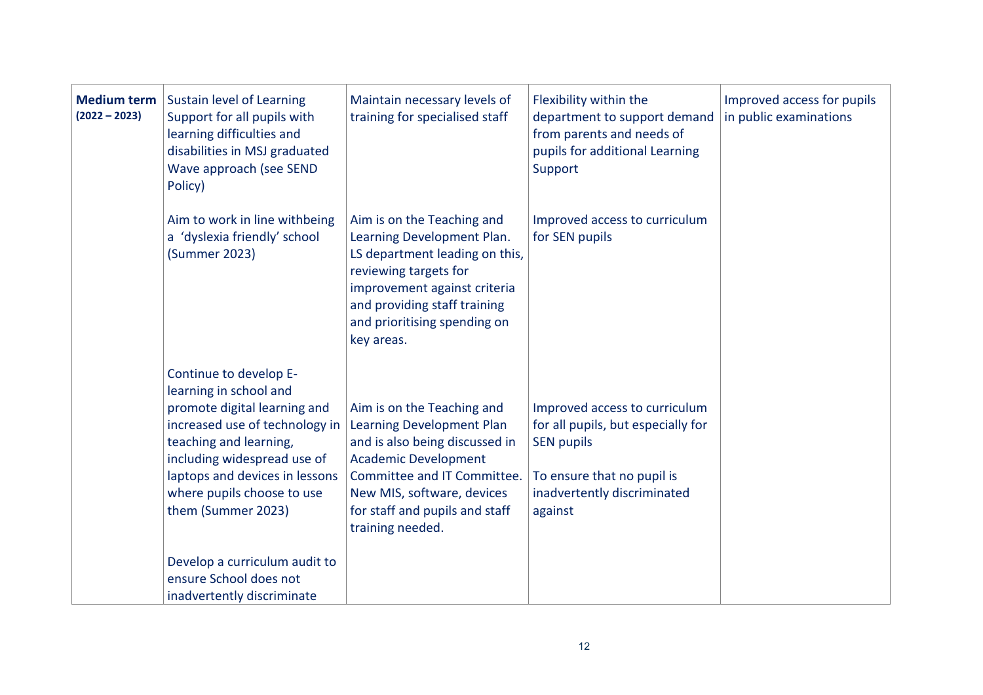| <b>Medium term</b><br>$(2022 - 2023)$ | Sustain level of Learning<br>Support for all pupils with<br>learning difficulties and<br>disabilities in MSJ graduated<br>Wave approach (see SEND<br>Policy)                                                                                                      | Maintain necessary levels of<br>training for specialised staff                                                                                                                                                                              | Flexibility within the<br>department to support demand<br>from parents and needs of<br>pupils for additional Learning<br>Support                                 | Improved access for pupils<br>in public examinations |
|---------------------------------------|-------------------------------------------------------------------------------------------------------------------------------------------------------------------------------------------------------------------------------------------------------------------|---------------------------------------------------------------------------------------------------------------------------------------------------------------------------------------------------------------------------------------------|------------------------------------------------------------------------------------------------------------------------------------------------------------------|------------------------------------------------------|
|                                       | Aim to work in line withbeing<br>a 'dyslexia friendly' school<br>(Summer 2023)                                                                                                                                                                                    | Aim is on the Teaching and<br>Learning Development Plan.<br>LS department leading on this,<br>reviewing targets for<br>improvement against criteria<br>and providing staff training<br>and prioritising spending on<br>key areas.           | Improved access to curriculum<br>for SEN pupils                                                                                                                  |                                                      |
|                                       | Continue to develop E-<br>learning in school and<br>promote digital learning and<br>increased use of technology in<br>teaching and learning,<br>including widespread use of<br>laptops and devices in lessons<br>where pupils choose to use<br>them (Summer 2023) | Aim is on the Teaching and<br>Learning Development Plan<br>and is also being discussed in<br><b>Academic Development</b><br>Committee and IT Committee.<br>New MIS, software, devices<br>for staff and pupils and staff<br>training needed. | Improved access to curriculum<br>for all pupils, but especially for<br><b>SEN pupils</b><br>To ensure that no pupil is<br>inadvertently discriminated<br>against |                                                      |
|                                       | Develop a curriculum audit to<br>ensure School does not<br>inadvertently discriminate                                                                                                                                                                             |                                                                                                                                                                                                                                             |                                                                                                                                                                  |                                                      |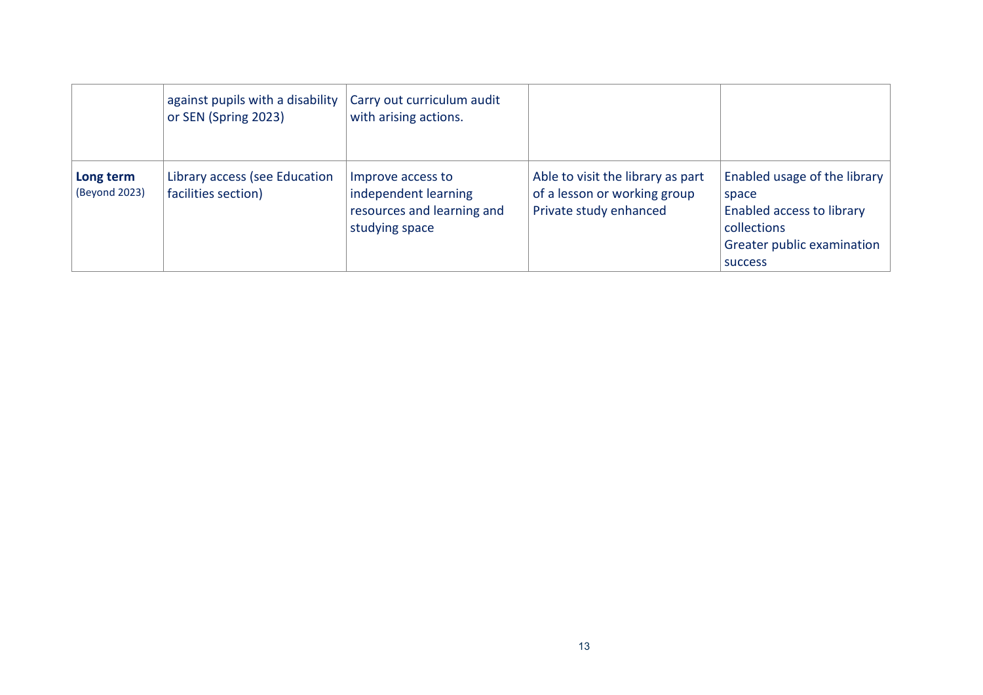|                            | against pupils with a disability<br>or SEN (Spring 2023) | Carry out curriculum audit<br>with arising actions.                                       |                                                                                             |                                                                                                                                          |
|----------------------------|----------------------------------------------------------|-------------------------------------------------------------------------------------------|---------------------------------------------------------------------------------------------|------------------------------------------------------------------------------------------------------------------------------------------|
| Long term<br>(Beyond 2023) | Library access (see Education<br>facilities section)     | Improve access to<br>independent learning<br>resources and learning and<br>studying space | Able to visit the library as part<br>of a lesson or working group<br>Private study enhanced | Enabled usage of the library<br>space<br><b>Enabled access to library</b><br>collections<br>Greater public examination<br><b>SUCCESS</b> |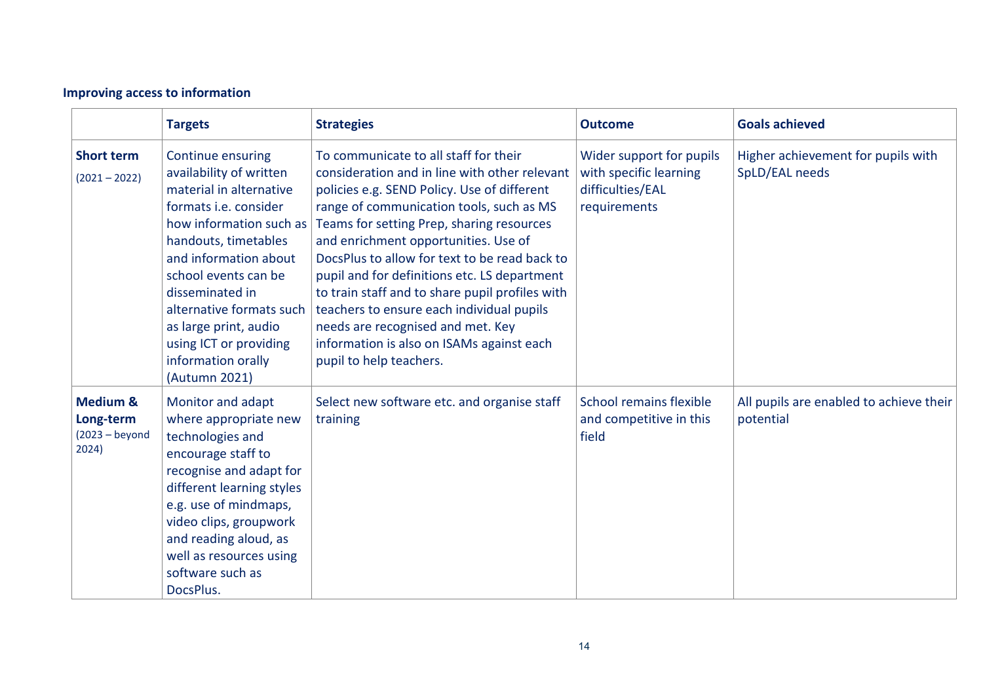# **Improving access to information**

|                                                                | <b>Targets</b>                                                                                                                                                                                                                                                                                                                                       | <b>Strategies</b>                                                                                                                                                                                                                                                                                                                                                                                                                                                                                                                                                                    | <b>Outcome</b>                                                                         | <b>Goals achieved</b>                                |
|----------------------------------------------------------------|------------------------------------------------------------------------------------------------------------------------------------------------------------------------------------------------------------------------------------------------------------------------------------------------------------------------------------------------------|--------------------------------------------------------------------------------------------------------------------------------------------------------------------------------------------------------------------------------------------------------------------------------------------------------------------------------------------------------------------------------------------------------------------------------------------------------------------------------------------------------------------------------------------------------------------------------------|----------------------------------------------------------------------------------------|------------------------------------------------------|
| <b>Short term</b><br>$(2021 - 2022)$                           | Continue ensuring<br>availability of written<br>material in alternative<br>formats <i>i.e.</i> consider<br>how information such as<br>handouts, timetables<br>and information about<br>school events can be<br>disseminated in<br>alternative formats such<br>as large print, audio<br>using ICT or providing<br>information orally<br>(Autumn 2021) | To communicate to all staff for their<br>consideration and in line with other relevant<br>policies e.g. SEND Policy. Use of different<br>range of communication tools, such as MS<br>Teams for setting Prep, sharing resources<br>and enrichment opportunities. Use of<br>DocsPlus to allow for text to be read back to<br>pupil and for definitions etc. LS department<br>to train staff and to share pupil profiles with<br>teachers to ensure each individual pupils<br>needs are recognised and met. Key<br>information is also on ISAMs against each<br>pupil to help teachers. | Wider support for pupils<br>with specific learning<br>difficulties/EAL<br>requirements | Higher achievement for pupils with<br>SpLD/EAL needs |
| <b>Medium &amp;</b><br>Long-term<br>$(2023 - beyond)$<br>2024) | Monitor and adapt<br>where appropriate new<br>technologies and<br>encourage staff to<br>recognise and adapt for<br>different learning styles<br>e.g. use of mindmaps,<br>video clips, groupwork<br>and reading aloud, as<br>well as resources using<br>software such as<br>DocsPlus.                                                                 | Select new software etc. and organise staff<br>training                                                                                                                                                                                                                                                                                                                                                                                                                                                                                                                              | School remains flexible<br>and competitive in this<br>field                            | All pupils are enabled to achieve their<br>potential |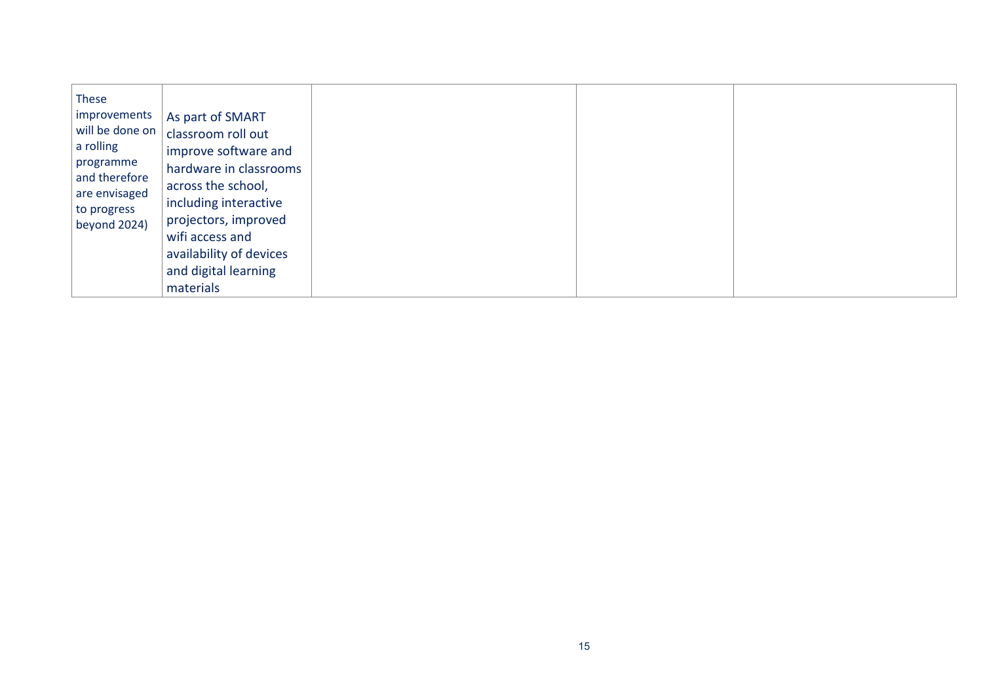|--|